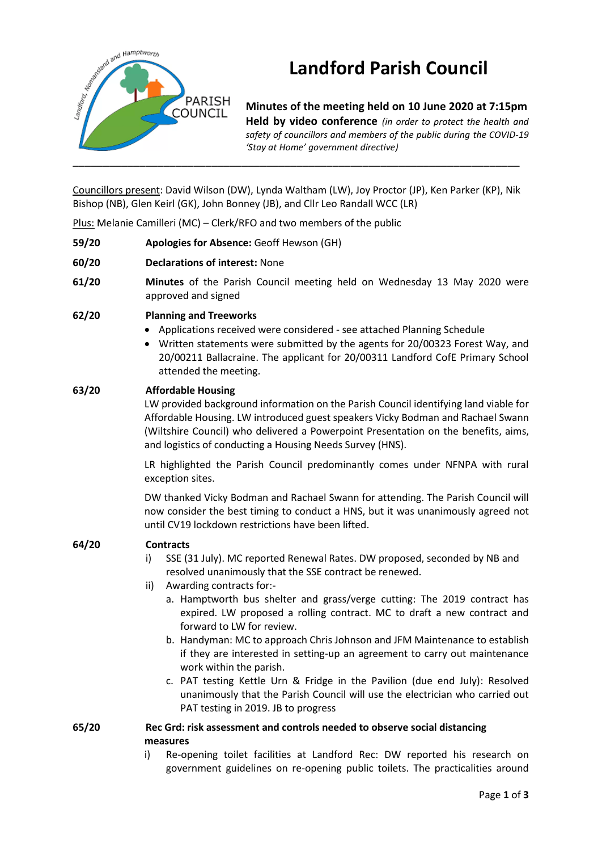

# **Landford Parish Council**

**Minutes of the meeting held on 10 June 2020 at 7:15pm Held by video conference** *(in order to protect the health and safety of councillors and members of the public during the COVID-19 'Stay at Home' government directive)* 

Councillors present: David Wilson (DW), Lynda Waltham (LW), Joy Proctor (JP), Ken Parker (KP), Nik Bishop (NB), Glen Keirl (GK), John Bonney (JB), and Cllr Leo Randall WCC (LR)

Plus: Melanie Camilleri (MC) – Clerk/RFO and two members of the public

- **59/20 Apologies for Absence:** Geoff Hewson (GH)
- **60/20 Declarations of interest:** None
- **61/20 Minutes** of the Parish Council meeting held on Wednesday 13 May 2020 were approved and signed
- **62/20 Planning and Treeworks**
	- Applications received were considered see attached Planning Schedule
	- Written statements were submitted by the agents for 20/00323 Forest Way, and 20/00211 Ballacraine. The applicant for 20/00311 Landford CofE Primary School attended the meeting.

#### **63/20 Affordable Housing**

LW provided background information on the Parish Council identifying land viable for Affordable Housing. LW introduced guest speakers Vicky Bodman and Rachael Swann (Wiltshire Council) who delivered a Powerpoint Presentation on the benefits, aims, and logistics of conducting a Housing Needs Survey (HNS).

LR highlighted the Parish Council predominantly comes under NFNPA with rural exception sites.

DW thanked Vicky Bodman and Rachael Swann for attending. The Parish Council will now consider the best timing to conduct a HNS, but it was unanimously agreed not until CV19 lockdown restrictions have been lifted.

#### **64/20 Contracts**

- i) SSE (31 July). MC reported Renewal Rates. DW proposed, seconded by NB and resolved unanimously that the SSE contract be renewed.
- ii) Awarding contracts for:
	- a. Hamptworth bus shelter and grass/verge cutting: The 2019 contract has expired. LW proposed a rolling contract. MC to draft a new contract and forward to LW for review.
	- b. Handyman: MC to approach Chris Johnson and JFM Maintenance to establish if they are interested in setting-up an agreement to carry out maintenance work within the parish.
	- c. PAT testing Kettle Urn & Fridge in the Pavilion (due end July): Resolved unanimously that the Parish Council will use the electrician who carried out PAT testing in 2019. JB to progress

#### **65/20 Rec Grd: risk assessment and controls needed to observe social distancing measures**

i) Re-opening toilet facilities at Landford Rec: DW reported his research on government guidelines on re-opening public toilets. The practicalities around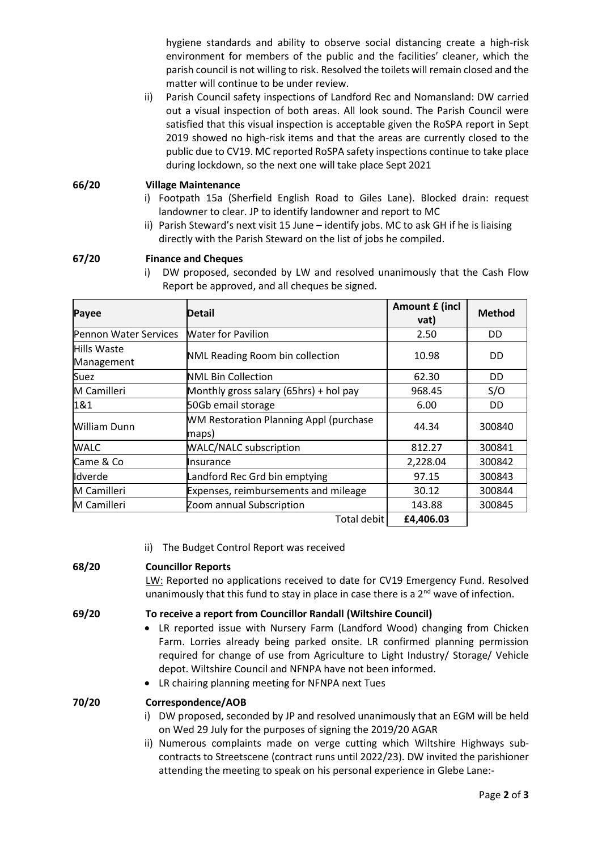hygiene standards and ability to observe social distancing create a high-risk environment for members of the public and the facilities' cleaner, which the parish council is not willing to risk. Resolved the toilets will remain closed and the matter will continue to be under review.

ii) Parish Council safety inspections of Landford Rec and Nomansland: DW carried out a visual inspection of both areas. All look sound. The Parish Council were satisfied that this visual inspection is acceptable given the RoSPA report in Sept 2019 showed no high-risk items and that the areas are currently closed to the public due to CV19. MC reported RoSPA safety inspections continue to take place during lockdown, so the next one will take place Sept 2021

#### **66/20 Village Maintenance**

- i) Footpath 15a (Sherfield English Road to Giles Lane). Blocked drain: request landowner to clear. JP to identify landowner and report to MC
- ii) Parish Steward's next visit 15 June identify jobs. MC to ask GH if he is liaising directly with the Parish Steward on the list of jobs he compiled.

#### **67/20 Finance and Cheques**

i) DW proposed, seconded by LW and resolved unanimously that the Cash Flow Report be approved, and all cheques be signed.

| Payee                     | Detail                                                 | Amount £ (incl<br>vat) | <b>Method</b> |
|---------------------------|--------------------------------------------------------|------------------------|---------------|
| Pennon Water Services     | <b>Water for Pavilion</b>                              | 2.50                   | DD            |
| Hills Waste<br>Management | NML Reading Room bin collection                        | 10.98                  | <b>DD</b>     |
| <b>Suez</b>               | <b>NML Bin Collection</b>                              | 62.30                  | DD            |
| M Camilleri               | Monthly gross salary (65hrs) + hol pay                 | 968.45                 | S/O           |
| 1&1                       | 50Gb email storage                                     | 6.00                   | DD            |
| William Dunn              | <b>WM Restoration Planning Appl (purchase</b><br>maps) | 44.34                  | 300840        |
| <b>WALC</b>               | <b>WALC/NALC subscription</b>                          | 812.27                 | 300841        |
| Came & Co                 | Insurance                                              | 2,228.04               | 300842        |
| lldverde                  | Landford Rec Grd bin emptying                          | 97.15                  | 300843        |
| M Camilleri               | Expenses, reimbursements and mileage                   | 30.12                  | 300844        |
| M Camilleri               | Zoom annual Subscription                               | 143.88                 | 300845        |
|                           | Total debit                                            | £4,406.03              |               |

ii) The Budget Control Report was received

# **68/20 Councillor Reports**

LW: Reported no applications received to date for CV19 Emergency Fund. Resolved unanimously that this fund to stay in place in case there is a 2<sup>nd</sup> wave of infection.

# **69/20 To receive a report from Councillor Randall (Wiltshire Council)**

- LR reported issue with Nursery Farm (Landford Wood) changing from Chicken Farm. Lorries already being parked onsite. LR confirmed planning permission required for change of use from Agriculture to Light Industry/ Storage/ Vehicle depot. Wiltshire Council and NFNPA have not been informed.
- LR chairing planning meeting for NFNPA next Tues

# **70/20 Correspondence/AOB**

- i) DW proposed, seconded by JP and resolved unanimously that an EGM will be held on Wed 29 July for the purposes of signing the 2019/20 AGAR
- ii) Numerous complaints made on verge cutting which Wiltshire Highways subcontracts to Streetscene (contract runs until 2022/23). DW invited the parishioner attending the meeting to speak on his personal experience in Glebe Lane:-